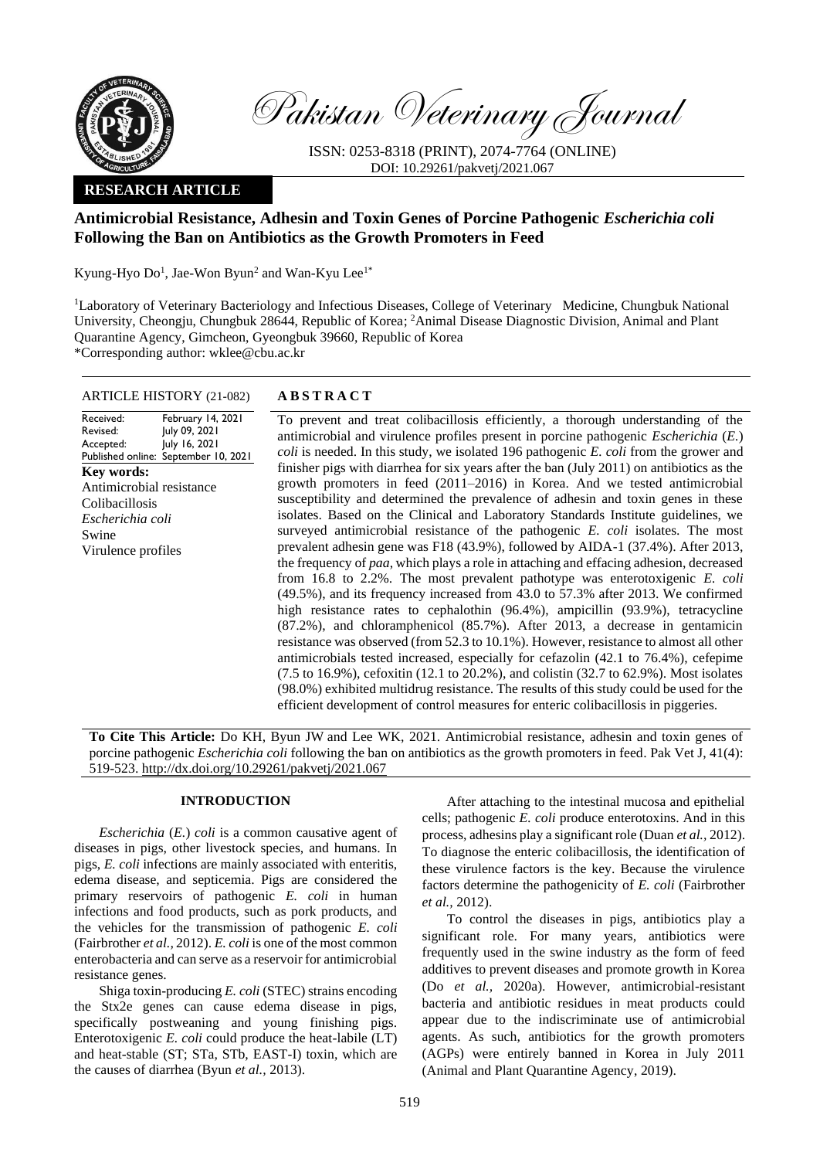

Pakistan Veterinary Journal

ISSN: 0253-8318 (PRINT), 2074-7764 (ONLINE) DOI: 10.29261/pakvetj/2021.067

## **RESEARCH ARTICLE**

# **Antimicrobial Resistance, Adhesin and Toxin Genes of Porcine Pathogenic** *Escherichia coli* **Following the Ban on Antibiotics as the Growth Promoters in Feed**

Kyung-Hyo  $Do<sup>1</sup>$ , Jae-Won Byun<sup>2</sup> and Wan-Kyu Lee<sup>1\*</sup>

<sup>1</sup>Laboratory of Veterinary Bacteriology and Infectious Diseases, College of Veterinary Medicine, Chungbuk National University, Cheongju, Chungbuk 28644, Republic of Korea; <sup>2</sup>Animal Disease Diagnostic Division, Animal and Plant Quarantine Agency, Gimcheon, Gyeongbuk 39660, Republic of Korea \*Corresponding author: [wklee@cbu.ac.kr](mailto:wklee@cbu.ac.kr)

## ARTICLE HISTORY (21-082) **A B S T R A C T**

Received: Revised: Accepted: Published online: February 14, 2021 July 09, 2021 July 16, 2021 September 10, 2021 **Key words:**  Antimicrobial resistance Colibacillosis *Escherichia coli* Swine Virulence profiles

To prevent and treat colibacillosis efficiently, a thorough understanding of the antimicrobial and virulence profiles present in porcine pathogenic *Escherichia* (*E.*) *coli* is needed. In this study, we isolated 196 pathogenic *E. coli* from the grower and finisher pigs with diarrhea for six years after the ban (July 2011) on antibiotics as the growth promoters in feed (2011–2016) in Korea. And we tested antimicrobial susceptibility and determined the prevalence of adhesin and toxin genes in these isolates. Based on the Clinical and Laboratory Standards Institute guidelines, we surveyed antimicrobial resistance of the pathogenic *E. coli* isolates. The most prevalent adhesin gene was F18 (43.9%), followed by AIDA-1 (37.4%). After 2013, the frequency of *paa*, which plays a role in attaching and effacing adhesion, decreased from 16.8 to 2.2%. The most prevalent pathotype was enterotoxigenic *E. coli* (49.5%), and its frequency increased from 43.0 to 57.3% after 2013. We confirmed high resistance rates to cephalothin (96.4%), ampicillin (93.9%), tetracycline (87.2%), and chloramphenicol (85.7%). After 2013, a decrease in gentamicin resistance was observed (from 52.3 to 10.1%). However, resistance to almost all other antimicrobials tested increased, especially for cefazolin (42.1 to 76.4%), cefepime (7.5 to 16.9%), cefoxitin (12.1 to 20.2%), and colistin (32.7 to 62.9%). Most isolates (98.0%) exhibited multidrug resistance. The results of this study could be used for the efficient development of control measures for enteric colibacillosis in piggeries.

**To Cite This Article:** Do KH, Byun JW and Lee WK, 2021. Antimicrobial resistance, adhesin and toxin genes of porcine pathogenic *Escherichia coli* following the ban on antibiotics as the growth promoters in feed. Pak Vet J, 41(4): 519-523. [http://dx.doi.org/10.29261/pakvetj/2021.067](http://pvj.com.pk/pdf-files/41_4/519-523.pdf)

## **INTRODUCTION**

*Escherichia* (*E.*) *coli* is a common causative agent of diseases in pigs, other livestock species, and humans. In pigs, *E. coli* infections are mainly associated with enteritis, edema disease, and septicemia. Pigs are considered the primary reservoirs of pathogenic *E. coli* in human infections and food products, such as pork products, and the vehicles for the transmission of pathogenic *E. coli* (Fairbrother *et al.,* 2012). *E. coli* is one of the most common enterobacteria and can serve as a reservoir for antimicrobial resistance genes.

Shiga toxin-producing *E. coli* (STEC) strains encoding the Stx2e genes can cause edema disease in pigs, specifically postweaning and young finishing pigs. Enterotoxigenic *E. coli* could produce the heat-labile (LT) and heat-stable (ST; STa, STb, EAST-I) toxin, which are the causes of diarrhea (Byun *et al.,* 2013).

After attaching to the intestinal mucosa and epithelial cells; pathogenic *E. coli* produce enterotoxins. And in this process, adhesins play a significant role (Duan *et al.,* 2012). To diagnose the enteric colibacillosis, the identification of these virulence factors is the key. Because the virulence factors determine the pathogenicity of *E. coli* (Fairbrother *et al.,* 2012).

To control the diseases in pigs, antibiotics play a significant role. For many years, antibiotics were frequently used in the swine industry as the form of feed additives to prevent diseases and promote growth in Korea (Do *et al.,* 2020a). However, antimicrobial-resistant bacteria and antibiotic residues in meat products could appear due to the indiscriminate use of antimicrobial agents. As such, antibiotics for the growth promoters (AGPs) were entirely banned in Korea in July 2011 (Animal and Plant Quarantine Agency, 2019).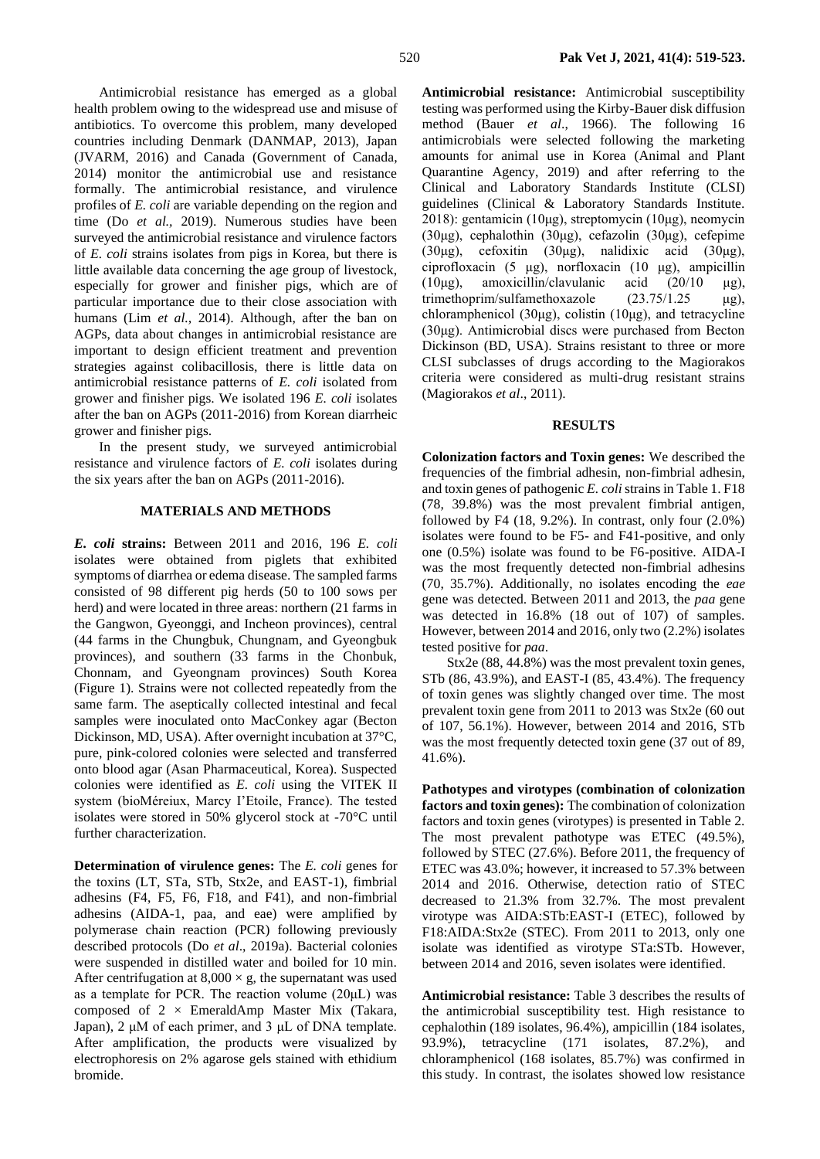Antimicrobial resistance has emerged as a global health problem owing to the widespread use and misuse of antibiotics. To overcome this problem, many developed countries including Denmark (DANMAP, 2013), Japan (JVARM, 2016) and Canada (Government of Canada, 2014) monitor the antimicrobial use and resistance formally. The antimicrobial resistance, and virulence profiles of *E. coli* are variable depending on the region and time (Do *et al.,* 2019). Numerous studies have been surveyed the antimicrobial resistance and virulence factors of *E. coli* strains isolates from pigs in Korea, but there is little available data concerning the age group of livestock, especially for grower and finisher pigs, which are of particular importance due to their close association with humans (Lim *et al.,* 2014). Although, after the ban on AGPs, data about changes in antimicrobial resistance are important to design efficient treatment and prevention strategies against colibacillosis, there is little data on antimicrobial resistance patterns of *E. coli* isolated from grower and finisher pigs. We isolated 196 *E. coli* isolates after the ban on AGPs (2011-2016) from Korean diarrheic grower and finisher pigs.

In the present study, we surveyed antimicrobial resistance and virulence factors of *E. coli* isolates during the six years after the ban on AGPs (2011-2016).

## **MATERIALS AND METHODS**

*E. coli* **strains:** Between 2011 and 2016, 196 *E. coli* isolates were obtained from piglets that exhibited symptoms of diarrhea or edema disease. The sampled farms consisted of 98 different pig herds (50 to 100 sows per herd) and were located in three areas: northern (21 farms in the Gangwon, Gyeonggi, and Incheon provinces), central (44 farms in the Chungbuk, Chungnam, and Gyeongbuk provinces), and southern (33 farms in the Chonbuk, Chonnam, and Gyeongnam provinces) South Korea (Figure 1). Strains were not collected repeatedly from the same farm. The aseptically collected intestinal and fecal samples were inoculated onto MacConkey agar (Becton Dickinson, MD, USA). After overnight incubation at 37°C, pure, pink-colored colonies were selected and transferred onto blood agar (Asan Pharmaceutical, Korea). Suspected colonies were identified as *E. coli* using the VITEK II system (bioMéreiux, Marcy I'Etoile, France). The tested isolates were stored in 50% glycerol stock at -70°C until further characterization.

**Determination of virulence genes:** The *E. coli* genes for the toxins (LT, STa, STb, Stx2e, and EAST-1), fimbrial adhesins (F4, F5, F6, F18, and F41), and non-fimbrial adhesins (AIDA-1, paa, and eae) were amplified by polymerase chain reaction (PCR) following previously described protocols (Do *et al*., 2019a). Bacterial colonies were suspended in distilled water and boiled for 10 min. After centrifugation at  $8,000 \times g$ , the supernatant was used as a template for PCR. The reaction volume (20μL) was composed of 2 × EmeraldAmp Master Mix (Takara, Japan), 2 μM of each primer, and 3 μL of DNA template. After amplification, the products were visualized by electrophoresis on 2% agarose gels stained with ethidium bromide.

**Antimicrobial resistance:** Antimicrobial susceptibility testing was performed using the Kirby-Bauer disk diffusion method (Bauer *et al*., 1966). The following 16 antimicrobials were selected following the marketing amounts for animal use in Korea (Animal and Plant Quarantine Agency, 2019) and after referring to the Clinical and Laboratory Standards Institute (CLSI) guidelines (Clinical & Laboratory Standards Institute. 2018): gentamicin (10μg), streptomycin (10μg), neomycin (30μg), cephalothin (30μg), cefazolin (30μg), cefepime (30μg), cefoxitin (30μg), nalidixic acid (30μg), ciprofloxacin (5 μg), norfloxacin (10 μg), ampicillin (10μg), amoxicillin/clavulanic acid (20/10 μg), trimethoprim/sulfamethoxazole (23.75/1.25 μg), chloramphenicol (30μg), colistin (10μg), and tetracycline (30μg). Antimicrobial discs were purchased from Becton Dickinson (BD, USA). Strains resistant to three or more CLSI subclasses of drugs according to the Magiorakos criteria were considered as multi-drug resistant strains (Magiorakos *et al*., 2011).

#### **RESULTS**

**Colonization factors and Toxin genes:** We described the frequencies of the fimbrial adhesin, non-fimbrial adhesin, and toxin genes of pathogenic *E. coli*strains in Table 1. F18 (78, 39.8%) was the most prevalent fimbrial antigen, followed by F4  $(18, 9.2\%)$ . In contrast, only four  $(2.0\%)$ isolates were found to be F5- and F41-positive, and only one (0.5%) isolate was found to be F6-positive. AIDA-I was the most frequently detected non-fimbrial adhesins (70, 35.7%). Additionally, no isolates encoding the *eae*  gene was detected. Between 2011 and 2013, the *paa* gene was detected in 16.8% (18 out of 107) of samples. However, between 2014 and 2016, only two (2.2%) isolates tested positive for *paa*.

Stx2e (88, 44.8%) was the most prevalent toxin genes, STb (86, 43.9%), and EAST-I (85, 43.4%). The frequency of toxin genes was slightly changed over time. The most prevalent toxin gene from 2011 to 2013 was Stx2e (60 out of 107, 56.1%). However, between 2014 and 2016, STb was the most frequently detected toxin gene (37 out of 89, 41.6%).

**Pathotypes and virotypes (combination of colonization factors and toxin genes):** The combination of colonization factors and toxin genes (virotypes) is presented in Table 2. The most prevalent pathotype was ETEC (49.5%), followed by STEC (27.6%). Before 2011, the frequency of ETEC was 43.0%; however, it increased to 57.3% between 2014 and 2016. Otherwise, detection ratio of STEC decreased to 21.3% from 32.7%. The most prevalent virotype was AIDA:STb:EAST-I (ETEC), followed by F18:AIDA:Stx2e (STEC). From 2011 to 2013, only one isolate was identified as virotype STa:STb. However, between 2014 and 2016, seven isolates were identified.

**Antimicrobial resistance:** Table 3 describes the results of the antimicrobial susceptibility test. High resistance to cephalothin (189 isolates, 96.4%), ampicillin (184 isolates, 93.9%), tetracycline (171 isolates, 87.2%), and chloramphenicol (168 isolates, 85.7%) was confirmed in this study. In contrast, the isolates showed low resistance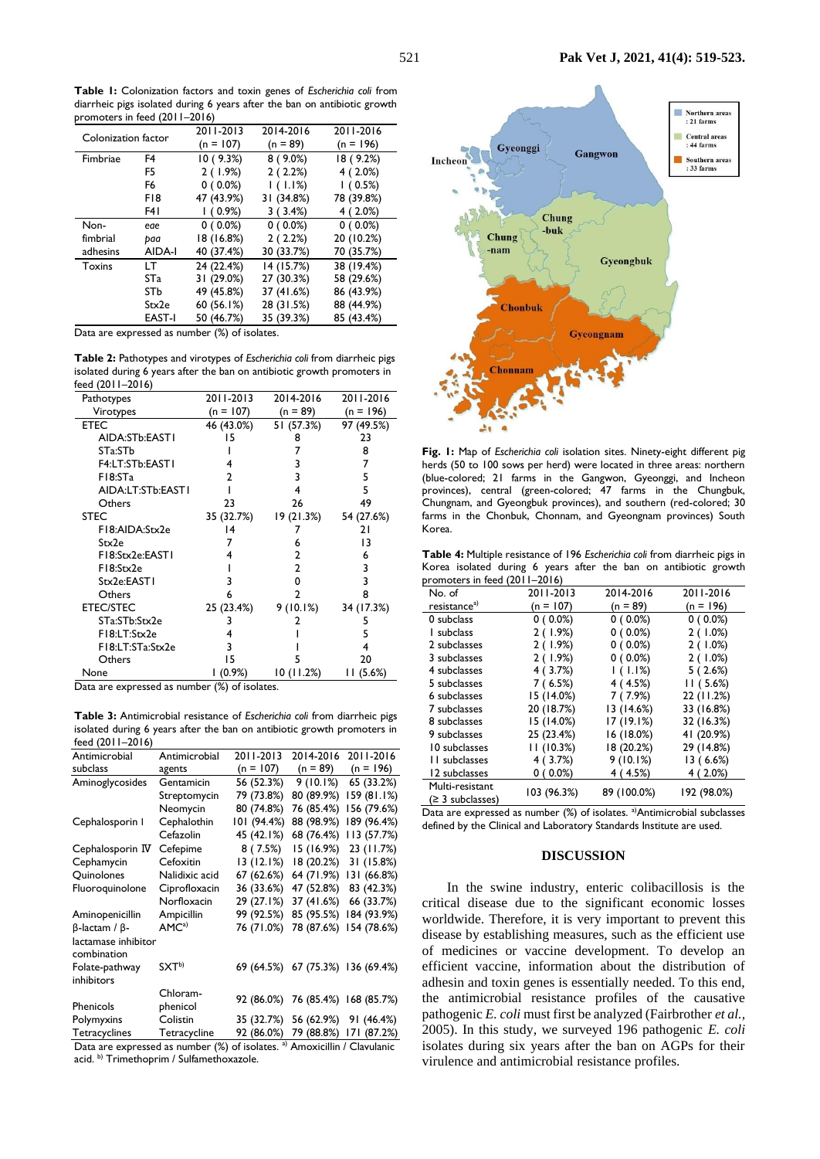**Table 1:** Colonization factors and toxin genes of *Escherichia coli* from diarrheic pigs isolated during 6 years after the ban on antibiotic growth promoters in feed (2011–2016)

| <b>Promoccio in idea (FAIT</b><br>. |                 |            |            |             |  |
|-------------------------------------|-----------------|------------|------------|-------------|--|
| Colonization factor                 |                 | 2011-2013  | 2014-2016  | 2011-2016   |  |
|                                     |                 | (n = 107)  | $(n = 89)$ | $(n = 196)$ |  |
| Fimbriae                            | F4              | 10(9.3%)   | $8(9.0\%)$ | 18 (9.2%)   |  |
|                                     | F5              | 2(1.9%)    | 2(2.2%)    | $4(2.0\%)$  |  |
|                                     | F6              | $0(0.0\%)$ | 1(1.1%)    | 1(0.5%)     |  |
|                                     | F18             | 47 (43.9%) | 31 (34.8%) | 78 (39.8%)  |  |
|                                     | F4 I            | 1(0.9%)    | 3(3.4%)    | 4 (2.0%)    |  |
| Non-                                | eae             | $0(0.0\%)$ | $0(0.0\%)$ | $0(0.0\%)$  |  |
| fimbrial                            | paa             | 18 (16.8%) | 2(2.2%)    | 20 (10.2%)  |  |
| adhesins                            | AIDA-I          | 40 (37.4%) | 30 (33.7%) | 70 (35.7%)  |  |
| Toxins                              | LT.             | 24 (22.4%) | 14 (15.7%) | 38 (19.4%)  |  |
|                                     | ST <sub>a</sub> | 31 (29.0%) | 27 (30.3%) | 58 (29.6%)  |  |
|                                     | STb             | 49 (45.8%) | 37 (41.6%) | 86 (43.9%)  |  |
|                                     | Stx2e           | 60 (56.1%) | 28 (31.5%) | 88 (44.9%)  |  |
|                                     | <b>EAST-I</b>   | 50 (46.7%) | 35 (39.3%) | 85 (43.4%)  |  |

Data are expressed as number (%) of isolates.

**Table 2:** Pathotypes and virotypes of *Escherichia coli* from diarrheic pigs isolated during 6 years after the ban on antibiotic growth promoters in feed (2011–2016)

| Pathotypes         | 2011-2013  | 2014-2016  | 2011-2016   |
|--------------------|------------|------------|-------------|
| Virotypes          | (n = 107)  | $(n = 89)$ | $(n = 196)$ |
| ETEC               | 46 (43.0%) | 51 (57.3%) | 97 (49.5%)  |
| AIDA:STb:EASTI     | 15         | 8          | 23          |
| STa:STb            |            |            | 8           |
| F4:LT:STb:EAST1    |            | 3          | 7           |
| F18:STa            | າ          | 3          | 5           |
| AIDA:LT:STb:EAST I |            | 4          | 5           |
| Others             | 23         | 26         | 49          |
| <b>STEC</b>        | 35 (32.7%) | 19 (21.3%) | 54 (27.6%)  |
| F18:AIDA:Stx2e     | 14         |            | 21          |
| Stx2e              |            | 6          | 13          |
| F18:Stx2e:EAST1    |            | 2          | 6           |
| F18:Stx2e          |            | 2          | 3           |
| Stx2e:EAST1        | 3          | 0          | 3           |
| Others             | 6          | 2          | 8           |
| <b>ETEC/STEC</b>   | 25 (23.4%) | 9(10.1%)   | 34 (17.3%)  |
| STa:STb:Stx2e      | 3          |            | 5           |
| F18:LT:Stx2e       |            |            | 5           |
| F18:LT:STa:Stx2e   | 3          |            |             |
| Others             | 15         | 5          | 20          |
| None               | $(0.9\%)$  | 10(11.2%)  | (5.6%)<br>Н |

Data are expressed as number (%) of isolates.

**Table 3:** Antimicrobial resistance of *Escherichia coli* from diarrheic pigs isolated during 6 years after the ban on antibiotic growth promoters in feed (2011–2016)

| Antimicrobial                                                                        | Antimicrobial     | 2011-2013   | 2014-2016  | 2011-2016              |
|--------------------------------------------------------------------------------------|-------------------|-------------|------------|------------------------|
| subclass                                                                             | agents            | $(n = 107)$ | $(n = 89)$ | $(n = 196)$            |
| Aminoglycosides                                                                      | Gentamicin        | 56 (52.3%)  | 9(10.1%)   | 65 (33.2%)             |
|                                                                                      | Streptomycin      | 79 (73.8%)  | 80 (89.9%) | 159 (81.1%)            |
|                                                                                      | Neomycin          | 80 (74.8%)  | 76 (85.4%) | 156 (79.6%)            |
| Cephalosporin I                                                                      | Cephalothin       | 101 (94.4%) | 88 (98.9%) | 189 (96.4%)            |
|                                                                                      | Cefazolin         | 45 (42.1%)  | 68 (76.4%) | 113(57.7%)             |
| Cephalosporin IV                                                                     | Cefepime          | 8(7.5%)     | 15 (16.9%) | 23 (11.7%)             |
| Cephamycin                                                                           | Cefoxitin         | 13(12.1%)   | 18 (20.2%) | 31 (15.8%)             |
| Quinolones                                                                           | Nalidixic acid    | 67 (62.6%)  | 64 (71.9%) | 131 (66.8%)            |
| Fluoroquinolone                                                                      | Ciprofloxacin     | 36 (33.6%)  | 47 (52.8%) | 83 (42.3%)             |
|                                                                                      | Norfloxacin       | 29 (27.1%)  | 37 (41.6%) | 66 (33.7%)             |
| Aminopenicillin                                                                      | Ampicillin        | 99 (92.5%)  | 85 (95.5%) | 184 (93.9%)            |
| $\beta$ -lactam / $\beta$ -                                                          | AMC <sup>a)</sup> | 76 (71.0%)  | 78 (87.6%) | 154 (78.6%)            |
| lactamase inhibitor<br>combination                                                   |                   |             |            |                        |
| Folate-pathway<br>inhibitors                                                         | SXT <sup>b)</sup> | 69 (64.5%)  |            | 67 (75.3%) 136 (69.4%) |
|                                                                                      | Chloram-          |             |            |                        |
| Phenicols                                                                            | phenicol          | 92 (86.0%)  | 76 (85.4%) | 168 (85.7%)            |
| Polymyxins                                                                           | Colistin          | 35 (32.7%)  | 56 (62.9%) | 91 (46.4%)             |
| Tetracyclines                                                                        | Tetracycline      | 92 (86.0%)  | 79 (88.8%) | 171 (87.2%)            |
| Data are expressed as number (%) of isolates. <sup>a)</sup> Amoxicillin / Clavulanic |                   |             |            |                        |

acid. b) Trimethoprim / Sulfamethoxazole.



**Fig. 1:** Map of *Escherichia coli* isolation sites. Ninety-eight different pig herds (50 to 100 sows per herd) were located in three areas: northern (blue-colored; 21 farms in the Gangwon, Gyeonggi, and Incheon provinces), central (green-colored; 47 farms in the Chungbuk, Chungnam, and Gyeongbuk provinces), and southern (red-colored; 30 farms in the Chonbuk, Chonnam, and Gyeongnam provinces) South Korea.

**Table 4:** Multiple resistance of 196 *Escherichia coli* from diarrheic pigs in Korea isolated during 6 years after the ban on antibiotic growth promoters in feed (2011–2016)

| $\mu$ on occurs in reed (2011–2010) |             |             |             |  |  |
|-------------------------------------|-------------|-------------|-------------|--|--|
| No. of                              | 2011-2013   | 2014-2016   | 2011-2016   |  |  |
| resistance <sup>a)</sup>            | (n = 107)   | $(n = 89)$  | $(n = 196)$ |  |  |
| 0 subclass                          | $0(0.0\%)$  | $0(0.0\%)$  | $0(0.0\%)$  |  |  |
| I subclass                          | 2 (1.9%)    | $0(0.0\%)$  | 2(1.0%)     |  |  |
| 2 subclasses                        | 2(1.9%)     | $0(0.0\%)$  | 2(1.0%)     |  |  |
| 3 subclasses                        | 2(1.9%)     | $0(0.0\%)$  | 2(1.0%)     |  |  |
| 4 subclasses                        | 4 (3.7%)    | 1(1.1%)     | 5(2.6%)     |  |  |
| 5 subclasses                        | 7(6.5%)     | 4(4.5%)     | 11(5.6%)    |  |  |
| 6 subclasses                        | 15 (14.0%)  | 7 (7.9%)    | 22 (11.2%)  |  |  |
| 7 subclasses                        | 20 (18.7%)  | 13 (14.6%)  | 33 (16.8%)  |  |  |
| 8 subclasses                        | 15 (14.0%)  | 17 (19.1%)  | 32 (16.3%)  |  |  |
| 9 subclasses                        | 25 (23.4%)  | 16 (18.0%)  | 41 (20.9%)  |  |  |
| 10 subclasses                       | 11(10.3%)   | 18 (20.2%)  | 29 (14.8%)  |  |  |
| II subclasses                       | 4(3.7%)     | 9(10.1%)    | 13 (6.6%)   |  |  |
| 12 subclasses                       | $0(0.0\%)$  | 4 (4.5%)    | $4(2.0\%)$  |  |  |
| Multi-resistant                     | 103 (96.3%) | 89 (100.0%) | 192 (98.0%) |  |  |
| (≥ 3 subclasses)                    |             |             |             |  |  |

Data are expressed as number (%) of isolates. <sup>a)</sup>Antimicrobial subclasses defined by the Clinical and Laboratory Standards Institute are used.

#### **DISCUSSION**

In the swine industry, enteric colibacillosis is the critical disease due to the significant economic losses worldwide. Therefore, it is very important to prevent this disease by establishing measures, such as the efficient use of medicines or vaccine development. To develop an efficient vaccine, information about the distribution of adhesin and toxin genes is essentially needed. To this end, the antimicrobial resistance profiles of the causative pathogenic *E. coli* must first be analyzed (Fairbrother *et al.,* 2005). In this study, we surveyed 196 pathogenic *E. coli*  isolates during six years after the ban on AGPs for their virulence and antimicrobial resistance profiles.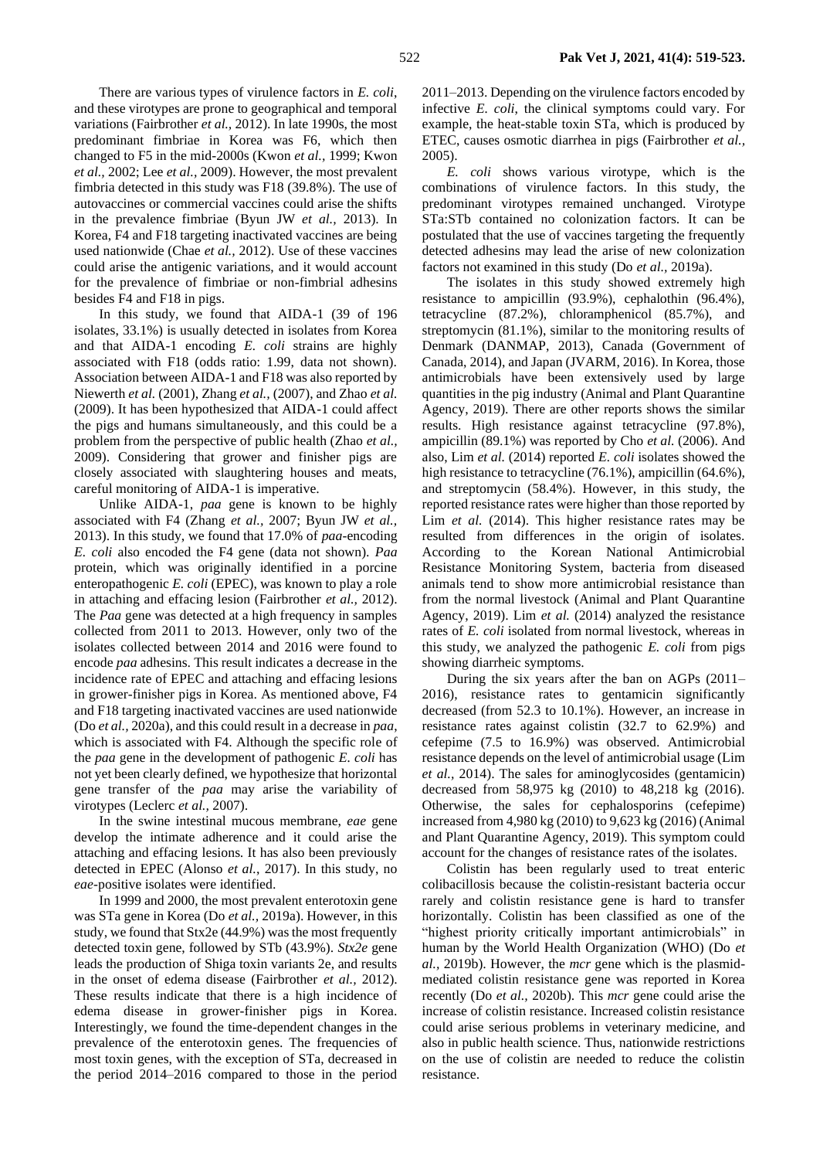There are various types of virulence factors in *E. coli*, and these virotypes are prone to geographical and temporal variations (Fairbrother *et al.,* 2012). In late 1990s, the most predominant fimbriae in Korea was F6, which then changed to F5 in the mid-2000s (Kwon *et al.,* 1999; Kwon *et al.,* 2002; Lee *et al.,* 2009). However, the most prevalent fimbria detected in this study was F18 (39.8%). The use of autovaccines or commercial vaccines could arise the shifts in the prevalence fimbriae (Byun JW *et al.,* 2013). In Korea, F4 and F18 targeting inactivated vaccines are being used nationwide (Chae *et al.,* 2012). Use of these vaccines could arise the antigenic variations, and it would account for the prevalence of fimbriae or non-fimbrial adhesins besides F4 and F18 in pigs.

In this study, we found that AIDA-1 (39 of 196 isolates, 33.1%) is usually detected in isolates from Korea and that AIDA-1 encoding *E. coli* strains are highly associated with F18 (odds ratio: 1.99, data not shown). Association between AIDA-1 and F18 was also reported by Niewerth *et al.* (2001), Zhang *et al.,* (2007), and Zhao *et al.* (2009). It has been hypothesized that AIDA-1 could affect the pigs and humans simultaneously, and this could be a problem from the perspective of public health (Zhao *et al.,* 2009). Considering that grower and finisher pigs are closely associated with slaughtering houses and meats, careful monitoring of AIDA-1 is imperative.

Unlike AIDA-1, *paa* gene is known to be highly associated with F4 (Zhang *et al.,* 2007; Byun JW *et al.,* 2013). In this study, we found that 17.0% of *paa*-encoding *E. coli* also encoded the F4 gene (data not shown). *Paa* protein, which was originally identified in a porcine enteropathogenic *E. coli* (EPEC), was known to play a role in attaching and effacing lesion (Fairbrother *et al.,* 2012). The *Paa* gene was detected at a high frequency in samples collected from 2011 to 2013. However, only two of the isolates collected between 2014 and 2016 were found to encode *paa* adhesins. This result indicates a decrease in the incidence rate of EPEC and attaching and effacing lesions in grower-finisher pigs in Korea. As mentioned above, F4 and F18 targeting inactivated vaccines are used nationwide (Do *et al.,* 2020a), and this could result in a decrease in *paa*, which is associated with F4. Although the specific role of the *paa* gene in the development of pathogenic *E. coli* has not yet been clearly defined, we hypothesize that horizontal gene transfer of the *paa* may arise the variability of virotypes (Leclerc *et al.,* 2007).

In the swine intestinal mucous membrane, *eae* gene develop the intimate adherence and it could arise the attaching and effacing lesions. It has also been previously detected in EPEC (Alonso *et al.*, 2017). In this study, no *eae*-positive isolates were identified.

In 1999 and 2000, the most prevalent enterotoxin gene was STa gene in Korea (Do *et al.,* 2019a). However, in this study, we found that Stx2e (44.9%) was the most frequently detected toxin gene, followed by STb (43.9%). *Stx2e* gene leads the production of Shiga toxin variants 2e, and results in the onset of edema disease (Fairbrother *et al.,* 2012). These results indicate that there is a high incidence of edema disease in grower-finisher pigs in Korea. Interestingly, we found the time-dependent changes in the prevalence of the enterotoxin genes. The frequencies of most toxin genes, with the exception of STa, decreased in the period 2014–2016 compared to those in the period

2011–2013. Depending on the virulence factors encoded by infective *E. coli*, the clinical symptoms could vary. For example, the heat-stable toxin STa, which is produced by ETEC, causes osmotic diarrhea in pigs (Fairbrother *et al.,* 2005).

*E. coli* shows various virotype, which is the combinations of virulence factors. In this study, the predominant virotypes remained unchanged. Virotype STa:STb contained no colonization factors. It can be postulated that the use of vaccines targeting the frequently detected adhesins may lead the arise of new colonization factors not examined in this study (Do *et al.,* 2019a).

The isolates in this study showed extremely high resistance to ampicillin (93.9%), cephalothin (96.4%), tetracycline (87.2%), chloramphenicol (85.7%), and streptomycin (81.1%), similar to the monitoring results of Denmark (DANMAP, 2013), Canada (Government of Canada, 2014), and Japan (JVARM, 2016). In Korea, those antimicrobials have been extensively used by large quantities in the pig industry (Animal and Plant Quarantine Agency, 2019). There are other reports shows the similar results. High resistance against tetracycline (97.8%), ampicillin (89.1%) was reported by Cho *et al.* (2006). And also, Lim *et al.* (2014) reported *E. coli* isolates showed the high resistance to tetracycline (76.1%), ampicillin (64.6%), and streptomycin (58.4%). However, in this study, the reported resistance rates were higher than those reported by Lim *et al.* (2014). This higher resistance rates may be resulted from differences in the origin of isolates. According to the Korean National Antimicrobial Resistance Monitoring System, bacteria from diseased animals tend to show more antimicrobial resistance than from the normal livestock (Animal and Plant Quarantine Agency, 2019). Lim *et al.* (2014) analyzed the resistance rates of *E. coli* isolated from normal livestock, whereas in this study, we analyzed the pathogenic *E. coli* from pigs showing diarrheic symptoms.

During the six years after the ban on AGPs (2011– 2016), resistance rates to gentamicin significantly decreased (from 52.3 to 10.1%). However, an increase in resistance rates against colistin (32.7 to 62.9%) and cefepime (7.5 to 16.9%) was observed. Antimicrobial resistance depends on the level of antimicrobial usage (Lim *et al.,* 2014). The sales for aminoglycosides (gentamicin) decreased from 58,975 kg (2010) to 48,218 kg (2016). Otherwise, the sales for cephalosporins (cefepime) increased from 4,980 kg (2010) to 9,623 kg (2016) (Animal and Plant Quarantine Agency, 2019). This symptom could account for the changes of resistance rates of the isolates.

Colistin has been regularly used to treat enteric colibacillosis because the colistin-resistant bacteria occur rarely and colistin resistance gene is hard to transfer horizontally. Colistin has been classified as one of the "highest priority critically important antimicrobials" in human by the World Health Organization (WHO) (Do *et al.,* 2019b). However, the *mcr* gene which is the plasmidmediated colistin resistance gene was reported in Korea recently (Do *et al.,* 2020b). This *mcr* gene could arise the increase of colistin resistance. Increased colistin resistance could arise serious problems in veterinary medicine, and also in public health science. Thus, nationwide restrictions on the use of colistin are needed to reduce the colistin resistance.